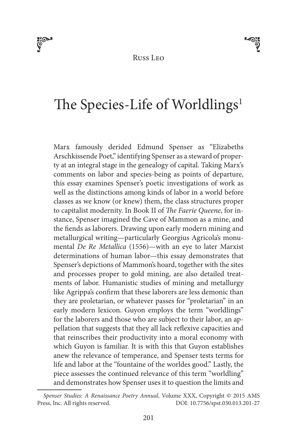



Russ Leo

# The Species-Life of Worldlings<sup>1</sup>

Marx famously derided Edmund Spenser as "Elizabeths Arschkissende Poet," identifying Spenser as a steward of property at an integral stage in the genealogy of capital. Taking Marx's comments on labor and species-being as points of departure, this essay examines Spenser's poetic investigations of work as well as the distinctions among kinds of labor in a world before classes as we know (or knew) them, the class structures proper to capitalist modernity. In Book II of *The Faerie Queene*, for instance, Spenser imagined the Cave of Mammon as a mine, and the fiends as laborers. Drawing upon early modern mining and metallurgical writing—particularly Georgius Agricola's monumental *De Re Metallica* (1556)—with an eye to later Marxist determinations of human labor—this essay demonstrates that Spenser's depictions of Mammon's hoard, together with the sites and processes proper to gold mining, are also detailed treatments of labor. Humanistic studies of mining and metallurgy like Agrippa's confirm that these laborers are less demonic than they are proletarian, or whatever passes for "proletarian" in an early modern lexicon. Guyon employs the term "worldlings" for the laborers and those who are subject to their labor, an appellation that suggests that they all lack reflexive capacities and that reinscribes their productivity into a moral economy with which Guyon is familiar. It is with this that Guyon establishes anew the relevance of temperance, and Spenser tests terms for life and labor at the "fountaine of the worldes good." Lastly, the piece assesses the continued relevance of this term "worldling" and demonstrates how Spenser uses it to question the limits and

*Spenser Studies: A Renaissance Poetry Annual*, Volume XXX, Copyright © 2015 AMS Press, Inc. All rights reserved. DOI: 10.7756/spst.030.013.201-27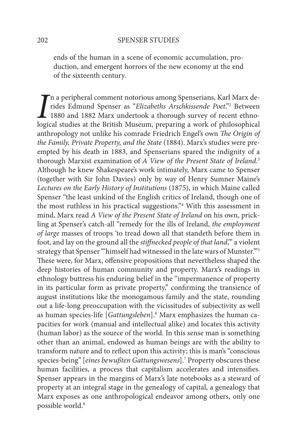ends of the human in a scene of economic accumulation, production, and emergent horrors of the new economy at the end of the sixteenth century.

In a peripheral comment notorious among Spenserians, Karl Marx derides Edmund Spenser as "*Elizabeths Arschkissende Poet.*"<sup>2</sup> Between 1880 and 1882 Marx undertook a thorough survey of recent ethnological studies at the Br n a peripheral comment notorious among Spenserians, Karl Marx derides Edmund Spenser as "*Elizabeths Arschkissende Poet*."2 Between 1880 and 1882 Marx undertook a thorough survey of recent ethnoanthropology not unlike his comrade Friedrich Engel's own *The Origin of the Family, Private Property, and the State* (1884). Marx's studies were preempted by his death in 1883, and Spenserians spared the indignity of a thorough Marxist examination of *A View of the Present State of Ireland*. 3 Although he knew Shakespeare's work intimately, Marx came to Spenser (together with Sir John Davies) only by way of Henry Sumner Maine's *Lectures on the Early History of Institutions* (1875), in which Maine called Spenser "the least unkind of the English critics of Ireland, though one of the most ruthless in his practical suggestions."4 With this assessment in mind, Marx read *A View of the Present State of Ireland* on his own, prickling at Spenser's catch-all "remedy for the ills of Ireland, *the employment of large* masses of troops 'to tread down all that standeth before them in foot, and lay on the ground all the *stiffnecked people of that land*,'" a violent strategy that Spenser ""himself had witnessed in the late wars of Munster."<sup>5</sup> These were, for Marx, offensive propositions that nevertheless shaped the deep histories of human community and property. Marx's readings in ethnology buttress his enduring belief in the "impermanence of property in its particular form as private property," confirming the transience of august institutions like the monogamous family and the state, rounding out a life-long preoccupation with the vicissitudes of subjectivity as well as human species-life [*Gattungsleben*].<sup>6</sup> Marx emphasizes the human capacities for work (manual and intellectual alike) and locates this activity (human labor) as the source of the world. In this sense man is something other than an animal, endowed as human beings are with the ability to transform nature and to reflect upon this activity; this is man's "conscious species-being" [*eines bewußten Gattungswesens*].7 Property obscures these human facilities, a process that capitalism accelerates and intensifies. Spenser appears in the margins of Marx's late notebooks as a steward of property at an integral stage in the genealogy of capital, a genealogy that Marx exposes as one anthropological endeavor among others, only one possible world.8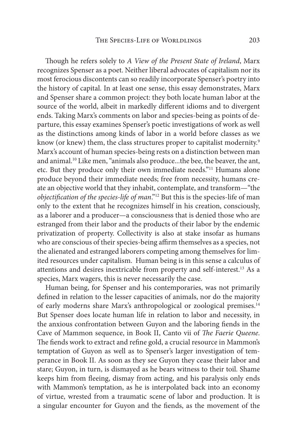Though he refers solely to *A View of the Present State of Ireland*, Marx recognizes Spenser as a poet. Neither liberal advocates of capitalism nor its most ferocious discontents can so readily incorporate Spenser's poetry into the history of capital. In at least one sense, this essay demonstrates, Marx and Spenser share a common project: they both locate human labor at the source of the world, albeit in markedly different idioms and to divergent ends. Taking Marx's comments on labor and species-being as points of departure, this essay examines Spenser's poetic investigations of work as well as the distinctions among kinds of labor in a world before classes as we know (or knew) them, the class structures proper to capitalist modernity.<sup>9</sup> Marx's account of human species-being rests on a distinction between man and animal.10 Like men, "animals also produce...the bee, the beaver, the ant, etc. But they produce only their own immediate needs."11 Humans alone produce beyond their immediate needs; free from necessity, humans create an objective world that they inhabit, contemplate, and transform—"the *objectification of the species-life of man*."12 But this is the species-life of man only to the extent that he recognizes himself in his creation, consciously, as a laborer and a producer—a consciousness that is denied those who are estranged from their labor and the products of their labor by the endemic privatization of property. Collectivity is also at stake insofar as humans who are conscious of their species-being affirm themselves as a species, not the alienated and estranged laborers competing among themselves for limited resources under capitalism. Human being is in this sense a calculus of attentions and desires inextricable from property and self-interest.13 As a species, Marx wagers, this is never necessarily the case.

Human being, for Spenser and his contemporaries, was not primarily defined in relation to the lesser capacities of animals, nor do the majority of early moderns share Marx's anthropological or zoological premises.14 But Spenser does locate human life in relation to labor and necessity, in the anxious confrontation between Guyon and the laboring fiends in the Cave of Mammon sequence, in Book II, Canto vii of *The Faerie Queene*. The fiends work to extract and refine gold, a crucial resource in Mammon's temptation of Guyon as well as to Spenser's larger investigation of temperance in Book II. As soon as they see Guyon they cease their labor and stare; Guyon, in turn, is dismayed as he bears witness to their toil. Shame keeps him from fleeing, dismay from acting, and his paralysis only ends with Mammon's temptation, as he is interpolated back into an economy of virtue, wrested from a traumatic scene of labor and production. It is a singular encounter for Guyon and the fiends, as the movement of the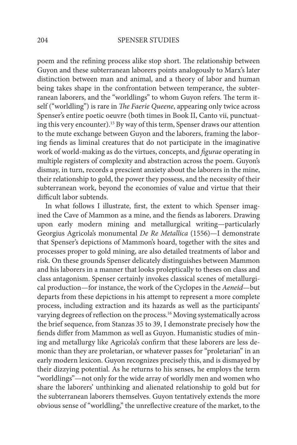poem and the refining process alike stop short. The relationship between Guyon and these subterranean laborers points analogously to Marx's later distinction between man and animal, and a theory of labor and human being takes shape in the confrontation between temperance, the subterranean laborers, and the "worldlings" to whom Guyon refers. The term itself ("worldling") is rare in *The Faerie Queene*, appearing only twice across Spenser's entire poetic oeuvre (both times in Book II, Canto vii, punctuating this very encounter).15 By way of this term, Spenser draws our attention to the mute exchange between Guyon and the laborers, framing the laboring fiends as liminal creatures that do not participate in the imaginative work of world-making as do the virtues, concepts, and *figurae* operating in multiple registers of complexity and abstraction across the poem. Guyon's dismay, in turn, records a prescient anxiety about the laborers in the mine, their relationship to gold, the power they possess, and the necessity of their subterranean work, beyond the economies of value and virtue that their difficult labor subtends.

In what follows I illustrate, first, the extent to which Spenser imagined the Cave of Mammon as a mine, and the fiends as laborers. Drawing upon early modern mining and metallurgical writing—particularly Georgius Agricola's monumental *De Re Metallica* (1556)—I demonstrate that Spenser's depictions of Mammon's hoard, together with the sites and processes proper to gold mining, are also detailed treatments of labor and risk. On these grounds Spenser delicately distinguishes between Mammon and his laborers in a manner that looks proleptically to theses on class and class antagonism. Spenser certainly invokes classical scenes of metallurgical production—for instance, the work of the Cyclopes in the *Aeneid*—but departs from these depictions in his attempt to represent a more complete process, including extraction and its hazards as well as the participants' varying degrees of reflection on the process.<sup>16</sup> Moving systematically across the brief sequence, from Stanzas 35 to 39, I demonstrate precisely how the fiends differ from Mammon as well as Guyon. Humanistic studies of mining and metallurgy like Agricola's confirm that these laborers are less demonic than they are proletarian, or whatever passes for "proletarian" in an early modern lexicon. Guyon recognizes precisely this, and is dismayed by their dizzying potential. As he returns to his senses, he employs the term "worldlings"—not only for the wide array of worldly men and women who share the laborers' unthinking and alienated relationship to gold but for the subterranean laborers themselves. Guyon tentatively extends the more obvious sense of "worldling," the unreflective creature of the market, to the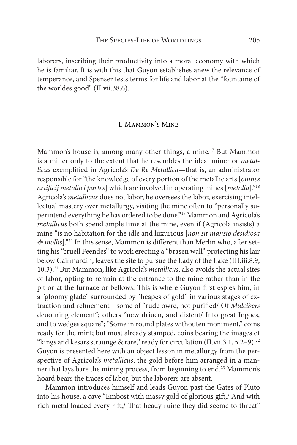laborers, inscribing their productivity into a moral economy with which he is familiar. It is with this that Guyon establishes anew the relevance of temperance, and Spenser tests terms for life and labor at the "fountaine of the worldes good" (II.vii.38.6).

## I. Mammon's Mine

Mammon's house is, among many other things, a mine.<sup>17</sup> But Mammon is a miner only to the extent that he resembles the ideal miner or *metallicus* exemplified in Agricola's *De Re Metallica*—that is, an administrator responsible for "the knowledge of every portion of the metallic arts [*omnes artificij metallici partes*] which are involved in operating mines [*metalla*]."18 Agricola's *metallicus* does not labor, he oversees the labor, exercising intellectual mastery over metallurgy, visiting the mine often to "personally superintend everything he has ordered to be done."19 Mammon and Agricola's *metallicus* both spend ample time at the mine, even if (Agricola insists) a mine "is no habitation for the idle and luxurious [*non sit mansio desidiosa & mollis*]."20 In this sense, Mammon is different than Merlin who, after setting his "cruell Feendes" to work erecting a "brasen wall" protecting his lair below Cairmardin, leaves the site to pursue the Lady of the Lake (III.iii.8.9, 10.3).21 But Mammon, like Agricola's *metallicus*, also avoids the actual sites of labor, opting to remain at the entrance to the mine rather than in the pit or at the furnace or bellows. This is where Guyon first espies him, in a "gloomy glade" surrounded by "heapes of gold" in various stages of extraction and refinement—some of "rude owre, not purified/ Of *Mulcibers*  deuouring element"; others "new driuen, and distent/ Into great Ingoes, and to wedges square"; "Some in round plates withouten moniment," coins ready for the mint; but most already stamped, coins bearing the images of "kings and kesars straunge & rare," ready for circulation (II.vii.3.1, 5.2–9).<sup>22</sup> Guyon is presented here with an object lesson in metallurgy from the perspective of Agricola's *metallicus*, the gold before him arranged in a manner that lays bare the mining process, from beginning to end.<sup>23</sup> Mammon's hoard bears the traces of labor, but the laborers are absent.

Mammon introduces himself and leads Guyon past the Gates of Pluto into his house, a cave "Embost with massy gold of glorious gift,/ And with rich metal loaded every rift,/ That heauy ruine they did seeme to threat"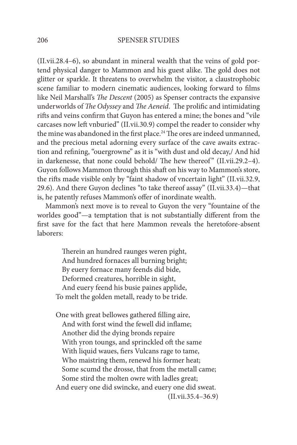#### 206 SPENSER STUDIES

(II.vii.28.4–6), so abundant in mineral wealth that the veins of gold portend physical danger to Mammon and his guest alike. The gold does not glitter or sparkle. It threatens to overwhelm the visitor, a claustrophobic scene familiar to modern cinematic audiences, looking forward to films like Neil Marshall's *The Descent* (2005) as Spenser contracts the expansive underworlds of *The Odyssey* and *The Aeneid*. The prolific and intimidating rifts and veins confirm that Guyon has entered a mine; the bones and "vile carcases now left vnburied" (II.vii.30.9) compel the reader to consider why the mine was abandoned in the first place.<sup>24</sup> The ores are indeed unmanned, and the precious metal adorning every surface of the cave awaits extraction and refining, "ouergrowne" as it is "with dust and old decay,/ And hid in darkenesse, that none could behold/ The hew thereof" (II.vii.29.2–4). Guyon follows Mammon through this shaft on his way to Mammon's store, the rifts made visible only by "faint shadow of vncertain light" (II.vii.32.9, 29.6). And there Guyon declines "to take thereof assay" (II.vii.33.4)—that is, he patently refuses Mammon's offer of inordinate wealth.

Mammon's next move is to reveal to Guyon the very "fountaine of the worldes good"—a temptation that is not substantially different from the first save for the fact that here Mammon reveals the heretofore-absent laborers:

Therein an hundred raunges weren pight, And hundred fornaces all burning bright; By euery fornace many feends did bide, Deformed creatures, horrible in sight, And euery feend his busie paines applide, To melt the golden metall, ready to be tride.

One with great bellowes gathered filling aire, And with forst wind the fewell did inflame; Another did the dying bronds repaire With yron toungs, and sprinckled oft the same With liquid waues, fiers Vulcans rage to tame, Who maistring them, renewd his former heat; Some scumd the drosse, that from the metall came; Some stird the molten owre with ladles great; And euery one did swincke, and euery one did sweat. (II.vii.35.4–36.9)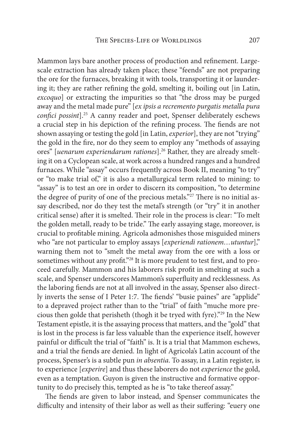Mammon lays bare another process of production and refinement. Largescale extraction has already taken place; these "feends" are not preparing the ore for the furnaces, breaking it with tools, transporting it or laundering it; they are rather refining the gold, smelting it, boiling out [in Latin, *excoquo*] or extracting the impurities so that "the dross may be purged away and the metal made pure" [*ex ipsis a recremento purgatis metalla pura confici possint*].25 A canny reader and poet, Spenser deliberately eschews a crucial step in his depiction of the refining process. The fiends are not shown assaying or testing the gold [in Latin, *experior*], they are not "trying" the gold in the fire, nor do they seem to employ any "methods of assaying ores" [*uenarum experiendarum rationes*].26 Rather, they are already smelting it on a Cyclopean scale, at work across a hundred ranges and a hundred furnaces. While "assay" occurs frequently across Book II, meaning "to try" or "to make trial of," it is also a metallurgical term related to mining: to "assay" is to test an ore in order to discern its composition, "to determine the degree of purity of one of the precious metals."<sup>27</sup> There is no initial assay described, nor do they test the metal's strength (or "try" it in another critical sense) after it is smelted. Their role in the process is clear: "To melt the golden metall, ready to be tride." The early assaying stage, moreover, is crucial to profitable mining. Agricola admonishes those misguided miners who "are not particular to employ assays [*experiendi rationem…utuntur*]," warning them not to "smelt the metal away from the ore with a loss or sometimes without any profit."<sup>28</sup> It is more prudent to test first, and to proceed carefully. Mammon and his laborers risk profit in smelting at such a scale, and Spenser underscores Mammon's superfluity and recklessness. As the laboring fiends are not at all involved in the assay, Spenser also directly inverts the sense of I Peter 1:7. The fiends' "busie paines" are "applide" to a depraved project rather than to the "trial" of faith "muche more precious then golde that perisheth (thogh it be tryed with fyre)."29 In the New Testament epistle, it is the assaying process that matters, and the "gold" that is lost in the process is far less valuable than the experience itself, however painful or difficult the trial of "faith" is. It is a trial that Mammon eschews, and a trial the fiends are denied. In light of Agricola's Latin account of the process, Spenser's is a subtle pun *in absentia*. To assay, in a Latin register, is to experience [*experire*] and thus these laborers do not *experience* the gold, even as a temptation. Guyon is given the instructive and formative opportunity to do precisely this, tempted as he is "to take thereof assay."

The fiends are given to labor instead, and Spenser communicates the difficulty and intensity of their labor as well as their suffering: "euery one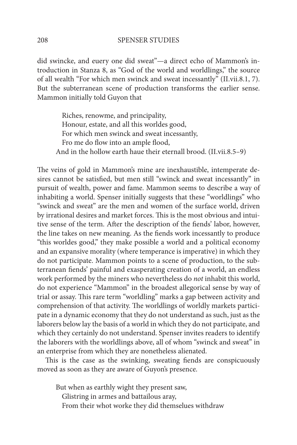did swincke, and euery one did sweat"—a direct echo of Mammon's introduction in Stanza 8, as "God of the world and worldlings," the source of all wealth "For which men swinck and sweat incessantly" (II.vii.8.1, 7). But the subterranean scene of production transforms the earlier sense. Mammon initially told Guyon that

Riches, renowme, and principality, Honour, estate, and all this worldes good, For which men swinck and sweat incessantly, Fro me do flow into an ample flood, And in the hollow earth haue their eternall brood. (II.vii.8.5–9)

The veins of gold in Mammon's mine are inexhaustible, intemperate desires cannot be satisfied, but men still "swinck and sweat incessantly" in pursuit of wealth, power and fame. Mammon seems to describe a way of inhabiting a world. Spenser initially suggests that these "worldlings" who "swinck and sweat" are the men and women of the surface world, driven by irrational desires and market forces. This is the most obvious and intuitive sense of the term. After the description of the fiends' labor, however, the line takes on new meaning. As the fiends work incessantly to produce "this worldes good," they make possible a world and a political economy and an expansive morality (where temperance is imperative) in which they do not participate. Mammon points to a scene of production, to the subterranean fiends' painful and exasperating creation of a world, an endless work performed by the miners who nevertheless do *not* inhabit this world, do not experience "Mammon" in the broadest allegorical sense by way of trial or assay. This rare term "worldling" marks a gap between activity and comprehension of that activity. The worldlings of worldly markets participate in a dynamic economy that they do not understand as such, just as the laborers below lay the basis of a world in which they do not participate, and which they certainly do not understand. Spenser invites readers to identify the laborers with the worldlings above, all of whom "swinck and sweat" in an enterprise from which they are nonetheless alienated.

This is the case as the swinking, sweating fiends are conspicuously moved as soon as they are aware of Guyon's presence.

But when as earthly wight they present saw, Glistring in armes and battailous aray, From their whot worke they did themselues withdraw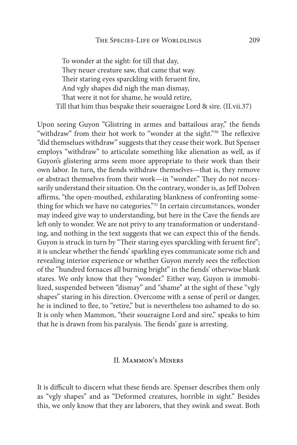To wonder at the sight: for till that day, They neuer creature saw, that came that way. Their staring eyes sparckling with feruent fire, And vgly shapes did nigh the man dismay, That were it not for shame, he would retire, Till that him thus bespake their soueraigne Lord & sire. (II.vii.37)

Upon seeing Guyon "Glistring in armes and battailous aray," the fiends "withdraw" from their hot work to "wonder at the sight."<sup>30</sup> The reflexive "did themselues withdraw" suggests that they cease their work. But Spenser employs "withdraw" to articulate something like alienation as well, as if Guyon's glistering arms seem more appropriate to their work than their own labor. In turn, the fiends withdraw themselves—that is, they remove or abstract themselves from their work—in "wonder." They do not necessarily understand their situation. On the contrary, wonder is, as Jeff Dolven affirms, "the open-mouthed, exhilarating blankness of confronting something for which we have no categories."<sup>31</sup> In certain circumstances, wonder may indeed give way to understanding, but here in the Cave the fiends are left only to wonder. We are not privy to any transformation or understanding, and nothing in the text suggests that we can expect this of the fiends. Guyon is struck in turn by "Their staring eyes sparckling with feruent fire"; it is unclear whether the fiends' sparkling eyes communicate some rich and revealing interior experience or whether Guyon merely sees the reflection of the "hundred fornaces all burning bright" in the fiends' otherwise blank stares. We only know that they "wonder." Either way, Guyon is immobilized, suspended between "dismay" and "shame" at the sight of these "vgly shapes" staring in his direction. Overcome with a sense of peril or danger, he is inclined to flee, to "retire," but is nevertheless too ashamed to do so. It is only when Mammon, "their soueraigne Lord and sire," speaks to him that he is drawn from his paralysis. The fiends' gaze is arresting.

## II. Mammon's Miners

It is difficult to discern what these fiends are. Spenser describes them only as "vgly shapes" and as "Deformed creatures, horrible in sight." Besides this, we only know that they are laborers, that they swink and sweat. Both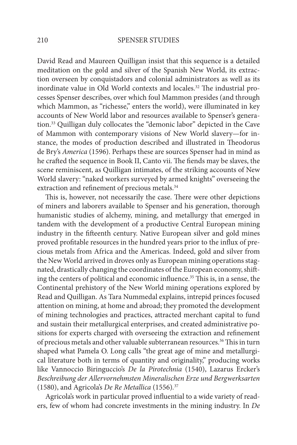David Read and Maureen Quilligan insist that this sequence is a detailed meditation on the gold and silver of the Spanish New World, its extraction overseen by conquistadors and colonial administrators as well as its inordinate value in Old World contexts and locales.<sup>32</sup> The industrial processes Spenser describes, over which foul Mammon presides (and through which Mammon, as "richesse," enters the world), were illuminated in key accounts of New World labor and resources available to Spenser's generation.33 Quilligan duly collocates the "demonic labor" depicted in the Cave of Mammon with contemporary visions of New World slavery—for instance, the modes of production described and illustrated in Theodorus de Bry's *America* (1596). Perhaps these are sources Spenser had in mind as he crafted the sequence in Book II, Canto vii. The fiends may be slaves, the scene reminiscent, as Quilligan intimates, of the striking accounts of New World slavery: "naked workers surveyed by armed knights" overseeing the extraction and refinement of precious metals.<sup>34</sup>

This is, however, not necessarily the case. There were other depictions of miners and laborers available to Spenser and his generation, thorough humanistic studies of alchemy, mining, and metallurgy that emerged in tandem with the development of a productive Central European mining industry in the fifteenth century. Native European silver and gold mines proved profitable resources in the hundred years prior to the influx of precious metals from Africa and the Americas. Indeed, gold and silver from the New World arrived in droves only as European mining operations stagnated, drastically changing the coordinates of the European economy, shifting the centers of political and economic influence.<sup>35</sup> This is, in a sense, the Continental prehistory of the New World mining operations explored by Read and Quilligan. As Tara Nummedal explains, intrepid princes focused attention on mining, at home and abroad; they promoted the development of mining technologies and practices, attracted merchant capital to fund and sustain their metallurgical enterprises, and created administrative positions for experts charged with overseeing the extraction and refinement of precious metals and other valuable subterranean resources.<sup>36</sup> This in turn shaped what Pamela O. Long calls "the great age of mine and metallurgical literature both in terms of quantity and originality," producing works like Vannoccio Biringuccio's *De la Pirotechnia* (1540), Lazarus Ercker's *Beschreibung der Allervornehmsten Mineralischen Erze und Bergwerksarten*  (1580), and Agricola's *De Re Metallica* (1556)*.* 37

Agricola's work in particular proved influential to a wide variety of readers, few of whom had concrete investments in the mining industry. In *De*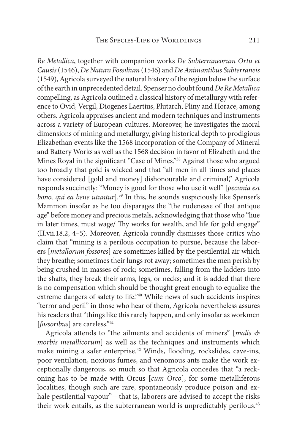*Re Metallica*, together with companion works *De Subterraneorum Ortu et Causis* (1546), *De Natura Fossilium* (1546) and *De Animantibus Subterraneis*  (1549), Agricola surveyed the natural history of the region below the surface of the earth in unprecedented detail. Spenser no doubt found *De Re Metallica*  compelling, as Agricola outlined a classical history of metallurgy with reference to Ovid, Vergil, Diogenes Laertius, Plutarch, Pliny and Horace, among others. Agricola appraises ancient and modern techniques and instruments across a variety of European cultures. Moreover, he investigates the moral dimensions of mining and metallurgy, giving historical depth to prodigious Elizabethan events like the 1568 incorporation of the Company of Mineral and Battery Works as well as the 1568 decision in favor of Elizabeth and the Mines Royal in the significant "Case of Mines."38 Against those who argued too broadly that gold is wicked and that "all men in all times and places have considered [gold and money] dishonourable and criminal," Agricola responds succinctly: "Money is good for those who use it well" [*pecunia est bono, qui ea bene utuntur*].<sup>39</sup> In this, he sounds suspiciously like Spenser's Mammon insofar as he too disparages the "the rudenesse of that antique age" before money and precious metals, acknowledging that those who "liue in later times, must wage/ Thy works for wealth, and life for gold engage" (II.vii.18.2, 4–5). Moreover, Agricola roundly dismisses those critics who claim that "mining is a perilous occupation to pursue, because the laborers [*metallorum fossores*] are sometimes killed by the pestilential air which they breathe; sometimes their lungs rot away; sometimes the men perish by being crushed in masses of rock; sometimes, falling from the ladders into the shafts, they break their arms, legs, or necks; and it is added that there is no compensation which should be thought great enough to equalize the extreme dangers of safety to life."40 While news of such accidents inspires "terror and peril" in those who hear of them, Agricola nevertheless assures his readers that "things like this rarely happen, and only insofar as workmen [*fossoribus*] are careless."<sup>41</sup>

Agricola attends to "the ailments and accidents of miners" [*malis & morbis metallicorum*] as well as the techniques and instruments which make mining a safer enterprise.<sup>42</sup> Winds, flooding, rockslides, cave-ins, poor ventilation, noxious fumes, and venomous ants make the work exceptionally dangerous, so much so that Agricola concedes that "a reckoning has to be made with Orcus [*cum Orco*], for some metalliferous localities, though such are rare, spontaneously produce poison and exhale pestilential vapour"—that is, laborers are advised to accept the risks their work entails, as the subterranean world is unpredictably perilous.<sup>43</sup>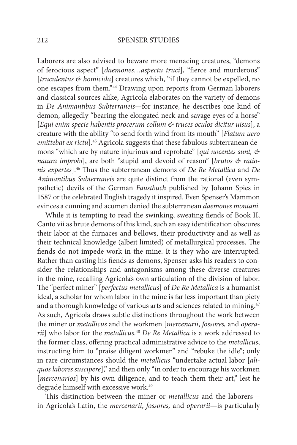#### 212 SPENSER STUDIES

Laborers are also advised to beware more menacing creatures, "demons of ferocious aspect" [*daemones…aspectu truci*], "fierce and murderous" [*truculentus & homicida*] creatures which, "if they cannot be expelled, no one escapes from them."44 Drawing upon reports from German laborers and classical sources alike, Agricola elaborates on the variety of demons in *De Animantibus Subterraneis*—for instance, he describes one kind of demon, allegedly "bearing the elongated neck and savage eyes of a horse" [*Equi enim specie habentis procerum collum & truces oculos dicitur uisus*], a creature with the ability "to send forth wind from its mouth" [*Flatum uero emittebat ex rictu*].<sup>45</sup> Agricola suggests that these fabulous subterranean demons "which are by nature injurious and reprobate" [*qui nocentes sunt, & natura improbi*], are both "stupid and devoid of reason" [*brutos & rationis expertes*].46 Thus the subterranean demons of *De Re Metallica* and *De Animantibus Subterraneis* are quite distinct from the rational (even sympathetic) devils of the German *Faustbuch* published by Johann Spies in 1587 or the celebrated English tragedy it inspired. Even Spenser's Mammon evinces a cunning and acumen denied the subterranean *daemones montani*.

While it is tempting to read the swinking, sweating fiends of Book II, Canto vii as brute demons of this kind, such an easy identification obscures their labor at the furnaces and bellows, their productivity and as well as their technical knowledge (albeit limited) of metallurgical processes. The fiends do not impede work in the mine. It is they who are interrupted. Rather than casting his fiends as demons, Spenser asks his readers to consider the relationships and antagonisms among these diverse creatures in the mine, recalling Agricola's own articulation of the division of labor. The "perfect miner" [*perfectus metallicus*] of *De Re Metallica* is a humanist ideal, a scholar for whom labor in the mine is far less important than piety and a thorough knowledge of various arts and sciences related to mining.<sup>47</sup> As such, Agricola draws subtle distinctions throughout the work between the miner or *metallicus* and the workmen [*mercenarii*, *fossores,* and *operarii*] who labor for the *metallicus*. <sup>48</sup> *De Re Metallica* is a work addressed to the former class, offering practical administrative advice to the *metallicus*, instructing him to "praise diligent workmen" and "rebuke the idle"; only in rare circumstances should the *metallicus* "undertake actual labor [*aliquos labores suscipere*]," and then only "in order to encourage his workmen [mercenarios] by his own diligence, and to teach them their art," lest he degrade himself with excessive work.<sup>49</sup>

This distinction between the miner or *metallicus* and the laborers in Agricola's Latin, the *mercenarii*, *fossores,* and *operarii*—is particularly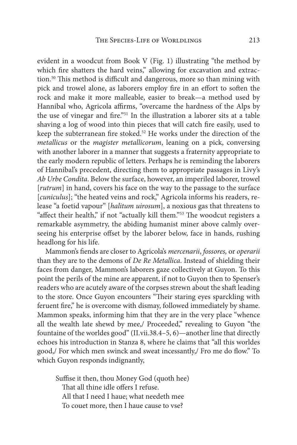evident in a woodcut from Book V (Fig. 1) illustrating "the method by which fire shatters the hard veins," allowing for excavation and extraction.<sup>50</sup> This method is difficult and dangerous, more so than mining with pick and trowel alone, as laborers employ fire in an effort to soften the rock and make it more malleable, easier to break—a method used by Hannibal who, Agricola affirms, "overcame the hardness of the Alps by the use of vinegar and fire."51 In the illustration a laborer sits at a table shaving a log of wood into thin pieces that will catch fire easily, used to keep the subterranean fire stoked.52 He works under the direction of the *metallicus* or the *magister metallicorum*, leaning on a pick, conversing with another laborer in a manner that suggests a fraternity appropriate to the early modern republic of letters. Perhaps he is reminding the laborers of Hannibal's precedent, directing them to appropriate passages in Livy's *Ab Urbe Condita*. Below the surface, however, an imperiled laborer, trowel [rutrum] in hand, covers his face on the way to the passage to the surface [*cuniculus*]; "the heated veins and rock," Agricola informs his readers, release "a foetid vapour" [*halitum uirosum*], a noxious gas that threatens to "affect their health," if not "actually kill them."<sup>53</sup> The woodcut registers a remarkable asymmetry, the abiding humanist miner above calmly overseeing his enterprise offset by the laborer below, face in hands, rushing headlong for his life.

Mammon's fiends are closer to Agricola's *mercenarii*, *fossores,* or *operarii* than they are to the demons of *De Re Metallica*. Instead of shielding their faces from danger, Mammon's laborers gaze collectively at Guyon. To this point the perils of the mine are apparent, if not to Guyon then to Spenser's readers who are acutely aware of the corpses strewn about the shaft leading to the store. Once Guyon encounters "Their staring eyes sparckling with feruent fire," he is overcome with dismay, followed immediately by shame. Mammon speaks, informing him that they are in the very place "whence all the wealth late shewd by mee,/ Proceeded," revealing to Guyon "the fountaine of the worldes good" (II.vii.38.4–5, 6)—another line that directly echoes his introduction in Stanza 8, where he claims that "all this worldes good,/ For which men swinck and sweat incessantly,/ Fro me do flow." To which Guyon responds indignantly,

Suffise it then, thou Money God (quoth hee) That all thine idle offers I refuse. All that I need I haue; what needeth mee To couet more, then I haue cause to vse?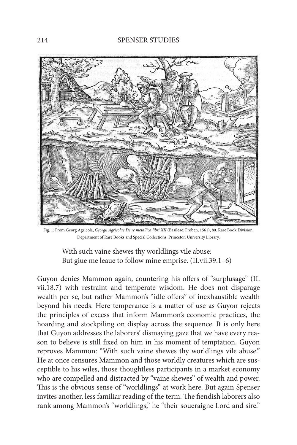

Fig. 1: From Georg Agricola, *Georgii Agricolae De re metallica libri XII* (Basileae: Froben, 1561), 80. Rare Book Division, Department of Rare Books and Special Collections, Princeton University Library.

With such vaine shewes thy worldlings vile abuse: But giue me leaue to follow mine emprise. (II.vii.39.1–6)

Guyon denies Mammon again, countering his offers of "surplusage" (II. vii.18.7) with restraint and temperate wisdom. He does not disparage wealth per se, but rather Mammon's "idle offers" of inexhaustible wealth beyond his needs. Here temperance is a matter of use as Guyon rejects the principles of excess that inform Mammon's economic practices, the hoarding and stockpiling on display across the sequence. It is only here that Guyon addresses the laborers' dismaying gaze that we have every reason to believe is still fixed on him in his moment of temptation. Guyon reproves Mammon: "With such vaine shewes thy worldlings vile abuse." He at once censures Mammon and those worldly creatures which are susceptible to his wiles, those thoughtless participants in a market economy who are compelled and distracted by "vaine shewes" of wealth and power. This is the obvious sense of "worldlings" at work here. But again Spenser invites another, less familiar reading of the term. The fiendish laborers also rank among Mammon's "worldlings," he "their soueraigne Lord and sire."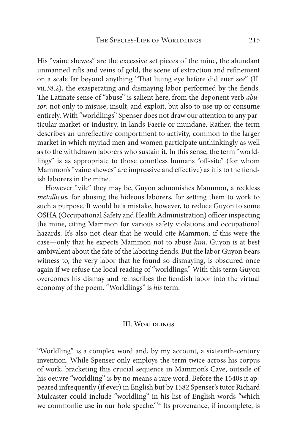His "vaine shewes" are the excessive set pieces of the mine, the abundant unmanned rifts and veins of gold, the scene of extraction and refinement on a scale far beyond anything "That liuing eye before did euer see" (II. vii.38.2), the exasperating and dismaying labor performed by the fiends. The Latinate sense of "abuse" is salient here, from the deponent verb *abusor*: not only to misuse, insult, and exploit, but also to use up or consume entirely. With "worldlings" Spenser does not draw our attention to any particular market or industry, in lands Faerie or mundane. Rather, the term describes an unreflective comportment to activity, common to the larger market in which myriad men and women participate unthinkingly as well as to the withdrawn laborers who sustain it. In this sense, the term "worldlings" is as appropriate to those countless humans "off-site" (for whom Mammon's "vaine shewes" are impressive and effective) as it is to the fiendish laborers in the mine.

However "vile" they may be, Guyon admonishes Mammon, a reckless *metallicus*, for abusing the hideous laborers, for setting them to work to such a purpose. It would be a mistake, however, to reduce Guyon to some OSHA (Occupational Safety and Health Administration) officer inspecting the mine, citing Mammon for various safety violations and occupational hazards. It's also not clear that he would cite Mammon, if this were the case—only that he expects Mammon not to abuse *him*. Guyon is at best ambivalent about the fate of the laboring fiends. But the labor Guyon bears witness to, the very labor that he found so dismaying, is obscured once again if we refuse the local reading of "worldlings." With this term Guyon overcomes his dismay and reinscribes the fiendish labor into the virtual economy of the poem. "Worldlings" is *his* term.

### III. Worldlings

"Worldling" is a complex word and, by my account, a sixteenth-century invention. While Spenser only employs the term twice across his corpus of work, bracketing this crucial sequence in Mammon's Cave, outside of his oeuvre "worldling" is by no means a rare word. Before the 1540s it appeared infrequently (if ever) in English but by 1582 Spenser's tutor Richard Mulcaster could include "worldling" in his list of English words "which we commonlie use in our hole speche."<sup>54</sup> Its provenance, if incomplete, is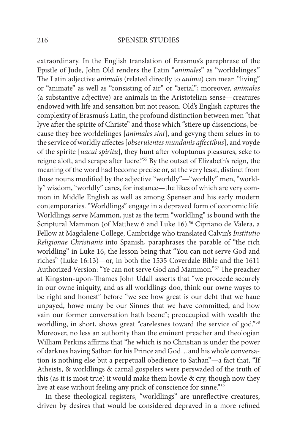extraordinary. In the English translation of Erasmus's paraphrase of the Epistle of Jude, John Old renders the Latin "*animales*" as "worldelinges." The Latin adjective *animalis* (related directly to *anima*) can mean "living" or "animate" as well as "consisting of air" or "aerial"; moreover, *animales*  (a substantive adjective) are animals in the Aristotelian sense—creatures endowed with life and sensation but not reason. Old's English captures the complexity of Erasmus's Latin, the profound distinction between men "that lyve after the spirite of Christe" and those which "stiere up dissencions, because they bee worldelinges [*animales sint*], and gevyng them selues in to the service of worldly affectes [*obseruientes mundanis affectibus*], and voyde of the spirite [*uacui spiritu*], they hunt after voluptuous pleasures, seke to reigne aloft, and scrape after lucre."55 By the outset of Elizabeth's reign, the meaning of the word had become precise or, at the very least, distinct from those nouns modified by the adjective "worldly"—"worldly" men, "worldly" wisdom, "worldly" cares, for instance—the likes of which are very common in Middle English as well as among Spenser and his early modern contemporaries. "Worldlings" engage in a depraved form of economic life. Worldlings serve Mammon, just as the term "worldling" is bound with the Scriptural Mammon (of Matthew 6 and Luke 16).<sup>56</sup> Cipriano de Valera, a Fellow at Magdalene College, Cambridge who translated Calvin's *Institutio Religionae Christianis* into Spanish, paraphrases the parable of "the rich worldling" in Luke 16, the lesson being that "You can not serve God and riches" (Luke 16:13)—or, in both the 1535 Coverdale Bible and the 1611 Authorized Version: "Ye can not serve God and Mammon."57 The preacher at Kingston-upon-Thames John Udall asserts that "we proceede securely in our owne iniquity, and as all worldlings doo, think our owne wayes to be right and honest" before "we see how great is our debt that we haue unpayed, howe many be our Sinnes that we have committed, and how vain our former conversation hath beene"; preoccupied with wealth the worldling, in short, shows great "carelesnes toward the service of god."<sup>58</sup> Moreover, no less an authority than the eminent preacher and theologian William Perkins affirms that "he which is no Christian is under the power of darknes having Sathan for his Prince and God…and his whole conversation is nothing else but a perpetuall obedience to Sathan"—a fact that, "If Atheists, & worldlings & carnal gospelers were perswaded of the truth of this (as it is most true) it would make them howle & cry, though now they live at ease without feeling any prick of conscience for sinne."<sup>59</sup>

In these theological registers, "worldlings" are unreflective creatures, driven by desires that would be considered depraved in a more refined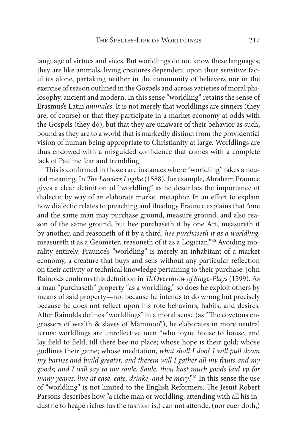language of virtues and vices. But worldlings do not know these languages; they are like animals, living creatures dependent upon their sensitive faculties alone, partaking neither in the community of believers nor in the exercise of reason outlined in the Gospels and across varieties of moral philosophy, ancient and modern. In this sense "worldling" retains the sense of Erasmus's Latin *animales*. It is not merely that worldlings are sinners (they are, of course) or that they participate in a market economy at odds with the Gospels (they do), but that they are unaware of their behavior as such, bound as they are to a world that is markedly distinct from the providential vision of human being appropriate to Christianity at large. Worldlings are thus endowed with a misguided confidence that comes with a complete lack of Pauline fear and trembling.

This is confirmed in those rare instances where "worldling" takes a neutral meaning. In *The Lawiers Logike* (1588), for example, Abraham Fraunce gives a clear definition of "worldling" as he describes the importance of dialectic by way of an elaborate market metaphor. In an effort to explain how dialectic relates to preaching and theology Fraunce explains that "one and the same man may purchase ground, measure ground, and also reason of the same ground, but hee purchaseth it by one Art, measureth it by another, and reasoneth of it by a third, *hee purchaseth it as a worldling,* measureth it as a Geometer*,* reasoneth of it as a Logician."60 Avoiding morality entirely, Fraunce's "worldling" is merely an inhabitant of a market economy, a creature that buys and sells without any particular reflection on their activity or technical knowledge pertaining to their purchase. John Rainolds confirms this definition in *Th'Overthrow of Stage-Plays* (1599). As a man "purchaseth" property "as a worldling," so does he exploit others by means of said property—not because he intends to do wrong but precisely because he does not reflect upon his rote behaviors, habits, and desires. After Rainolds defines "worldlings" in a moral sense (as "The covetous engrossers of wealth & slaves of Mammon"), he elaborates in more neutral terms: worldlings are unreflective men "who ioyne house to house, and lay field to field, till there bee no place; whose hope is their gold; whose godlines their gaine; whose meditation, *what shall I doo? I will pull down my barnes and build greater, and therein will I gather all my fruits and my goods; and I will say to my soule, Soule, thou hast much goods laid vp for many yeares; liue at ease, eate, drinke, and be mery*."61 In this sense the use of "worldling" is not limited to the English Reformers. The Jesuit Robert Parsons describes how "a riche man or worldling, attending with all his industrie to heape riches (as the fashion is,) can not attende, (nor euer doth,)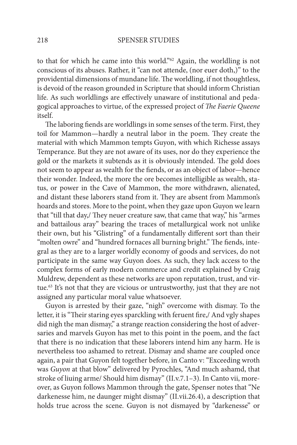to that for which he came into this world."62 Again, the worldling is not conscious of its abuses. Rather, it "can not attende, (nor euer doth,)" to the providential dimensions of mundane life. The worldling, if not thoughtless, is devoid of the reason grounded in Scripture that should inform Christian life. As such worldlings are effectively unaware of institutional and pedagogical approaches to virtue, of the expressed project of *The Faerie Queene* itself.

The laboring fiends are worldlings in some senses of the term. First, they toil for Mammon—hardly a neutral labor in the poem. They create the material with which Mammon tempts Guyon, with which Richesse assays Temperance. But they are not aware of its uses, nor do they experience the gold or the markets it subtends as it is obviously intended. The gold does not seem to appear as wealth for the fiends, or as an object of labor—hence their wonder. Indeed, the more the ore becomes intelligible as wealth, status, or power in the Cave of Mammon, the more withdrawn, alienated, and distant these laborers stand from it. They are absent from Mammon's hoards and stores. More to the point, when they gaze upon Guyon we learn that "till that day,/ They neuer creature saw, that came that way," his "armes and battailous aray" bearing the traces of metallurgical work not unlike their own, but his "Glistring" of a fundamentally different sort than their "molten owre" and "hundred fornaces all burning bright." The fiends, integral as they are to a larger worldly economy of goods and services, do not participate in the same way Guyon does. As such, they lack access to the complex forms of early modern commerce and credit explained by Craig Muldrew, dependent as these networks are upon reputation, trust, and virtue.63 It's not that they are vicious or untrustworthy, just that they are not assigned any particular moral value whatsoever.

Guyon is arrested by their gaze, "nigh" overcome with dismay. To the letter, it is "Their staring eyes sparckling with feruent fire,/ And vgly shapes did nigh the man dismay," a strange reaction considering the host of adversaries and marvels Guyon has met to this point in the poem, and the fact that there is no indication that these laborers intend him any harm. He is nevertheless too ashamed to retreat. Dismay and shame are coupled once again, a pair that Guyon felt together before, in Canto v: "Exceeding wroth was *Guyon* at that blow" delivered by Pyrochles, "And much ashamd, that stroke of liuing arme/ Should him dismay" (II.v.7.1–3). In Canto vii, moreover, as Guyon follows Mammon through the gate, Spenser notes that "Ne darkenesse him, ne daunger might dismay" (II.vii.26.4), a description that holds true across the scene. Guyon is not dismayed by "darkenesse" or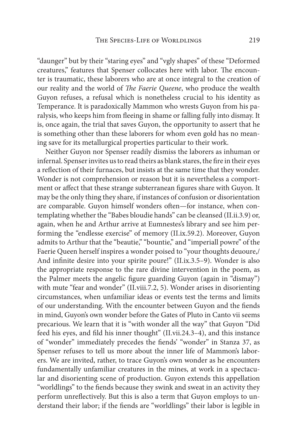"daunger" but by their "staring eyes" and "vgly shapes" of these "Deformed creatures," features that Spenser collocates here with labor. The encounter is traumatic, these laborers who are at once integral to the creation of our reality and the world of *The Faerie Queene*, who produce the wealth Guyon refuses, a refusal which is nonetheless crucial to his identity as Temperance. It is paradoxically Mammon who wrests Guyon from his paralysis, who keeps him from fleeing in shame or falling fully into dismay. It is, once again, the trial that saves Guyon, the opportunity to assert that he is something other than these laborers for whom even gold has no meaning save for its metallurgical properties particular to their work.

Neither Guyon nor Spenser readily dismiss the laborers as inhuman or infernal. Spenser invites us to read theirs as blank stares, the fire in their eyes a reflection of their furnaces, but insists at the same time that they wonder. Wonder is not comprehension or reason but it is nevertheless a comportment or affect that these strange subterranean figures share with Guyon. It may be the only thing they share, if instances of confusion or disorientation are comparable. Guyon himself wonders often—for instance, when contemplating whether the "Babes bloudie hands" can be cleansed (II.ii.3.9) or, again, when he and Arthur arrive at Eumnestes's library and see him performing the "endlesse exercise" of memory (II.ix.59.2). Moreover, Guyon admits to Arthur that the "beautie," "bountie," and "imperiall powre" of the Faerie Queen herself inspires a wonder poised to "your thoughts deuoure,/ And infinite desire into your spirite poure!" (II.ix.3.5–9). Wonder is also the appropriate response to the rare divine intervention in the poem, as the Palmer meets the angelic figure guarding Guyon (again in "dismay") with mute "fear and wonder" (II.viii.7.2, 5). Wonder arises in disorienting circumstances, when unfamiliar ideas or events test the terms and limits of our understanding. With the encounter between Guyon and the fiends in mind, Guyon's own wonder before the Gates of Pluto in Canto vii seems precarious. We learn that it is "with wonder all the way" that Guyon "Did feed his eyes, and fild his inner thought" (II.vii.24.3–4), and this instance of "wonder" immediately precedes the fiends' "wonder" in Stanza 37, as Spenser refuses to tell us more about the inner life of Mammon's laborers. We are invited, rather, to trace Guyon's own wonder as he encounters fundamentally unfamiliar creatures in the mines, at work in a spectacular and disorienting scene of production. Guyon extends this appellation "worldlings" to the fiends because they swink and sweat in an activity they perform unreflectively. But this is also a term that Guyon employs to understand their labor; if the fiends are "worldlings" their labor is legible in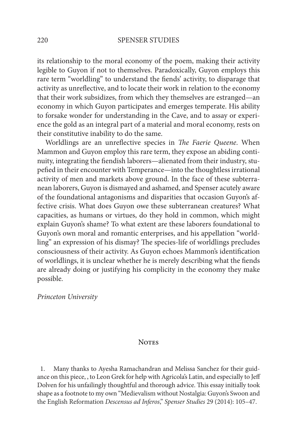its relationship to the moral economy of the poem, making their activity legible to Guyon if not to themselves. Paradoxically, Guyon employs this rare term "worldling" to understand the fiends' activity, to disparage that activity as unreflective, and to locate their work in relation to the economy that their work subsidizes, from which they themselves are estranged—an economy in which Guyon participates and emerges temperate. His ability to forsake wonder for understanding in the Cave, and to assay or experience the gold as an integral part of a material and moral economy, rests on their constitutive inability to do the same.

Worldlings are an unreflective species in *The Faerie Queene*. When Mammon and Guyon employ this rare term, they expose an abiding continuity, integrating the fiendish laborers—alienated from their industry, stupefied in their encounter with Temperance—into the thoughtless irrational activity of men and markets above ground. In the face of these subterranean laborers, Guyon is dismayed and ashamed, and Spenser acutely aware of the foundational antagonisms and disparities that occasion Guyon's affective crisis. What does Guyon owe these subterranean creatures? What capacities, as humans or virtues, do they hold in common, which might explain Guyon's shame? To what extent are these laborers foundational to Guyon's own moral and romantic enterprises, and his appellation "worldling" an expression of his dismay? The species-life of worldlings precludes consciousness of their activity. As Guyon echoes Mammon's identification of worldlings, it is unclear whether he is merely describing what the fiends are already doing or justifying his complicity in the economy they make possible.

#### *Princeton University*

## **NOTES**

1. Many thanks to Ayesha Ramachandran and Melissa Sanchez for their guidance on this piece, , to Leon Grek for help with Agricola's Latin, and especially to Jeff Dolven for his unfailingly thoughtful and thorough advice. This essay initially took shape as a footnote to my own "Medievalism without Nostalgia: Guyon's Swoon and the English Reformation *Descensus ad Inferos*," *Spenser Studies* 29 (2014): 105–47.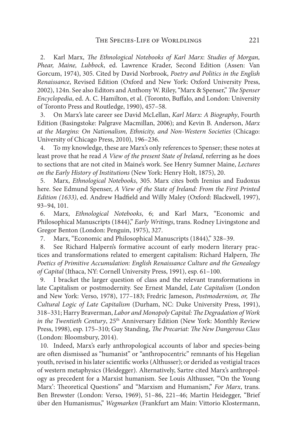2. Karl Marx, *The Ethnological Notebooks of Karl Marx*: *Studies of Morgan, Phear, Maine, Lubbock*, ed. Lawrence Krader, Second Edition (Assen: Van Gorcum, 1974), 305. Cited by David Norbrook, *Poetry and Politics in the English Renaissance*, Revised Edition (Oxford and New York: Oxford University Press, 2002), 124n. See also Editors and Anthony W. Riley, "Marx & Spenser," *The Spenser Encyclopedia*, ed. A. C. Hamilton, et al. (Toronto, Buffalo, and London: University of Toronto Press and Routledge, 1990), 457–58.

3. On Marx's late career see David McLellan, *Karl Marx: A Biography*, Fourth Edition (Basingstoke: Palgrave Macmillan, 2006); and Kevin B. Anderson, *Marx at the Margins: On Nationalism, Ethnicity, and Non-Western Societies* (Chicago: University of Chicago Press, 2010), 196–236.

4. To my knowledge, these are Marx's only references to Spenser; these notes at least prove that he read *A View of the present State of Ireland*, referring as he does to sections that are not cited in Maine's work. See Henry Sumner Maine, *Lectures on the Early History of Institutions* (New York: Henry Holt, 1875), 20.

5. Marx, *Ethnological Notebooks*, 305. Marx cites both Irenius and Eudoxus here. See Edmund Spenser, *A View of the State of Ireland: From the First Printed Edition (1633)*, ed. Andrew Hadfield and Willy Maley (Oxford: Blackwell, 1997), 93–94, 101.

6. Marx, *Ethnological Notebooks*, 6; and Karl Marx, "Economic and Philosophical Manuscripts (1844)," *Early Writings*, trans. Rodney Livingstone and Gregor Benton (London: Penguin, 1975), 327.

7. Marx, "Economic and Philosophical Manuscripts (1844)," 328–39.

8. See Richard Halpern's formative account of early modern literary practices and transformations related to emergent capitalism: Richard Halpern, *The Poetics of Primitive Accumulation: English Renaissance Culture and the Genealogy of Capital* (Ithaca, NY: Cornell University Press, 1991), esp. 61–100.

9. I bracket the larger question of class and the relevant transformations in late Capitalism or postmodernity. See Ernest Mandel, *Late Capitalism* (London and New York: Verso, 1978), 177–183; Fredric Jameson, *Postmodernism, or, The Cultural Logic of Late Capitalism* (Durham, NC: Duke University Press, 1991), 318–331; Harry Braverman, *Labor and Monopoly Capital: The Degradation of Work in the Twentieth Century*, 25<sup>th</sup> Anniversary Edition (New York: Monthly Review Press, 1998), esp. 175–310; Guy Standing, *The Precariat: The New Dangerous Class*  (London: Bloomsbury, 2014).

10. Indeed, Marx's early anthropological accounts of labor and species-being are often dismissed as "humanist" or "anthropocentric" remnants of his Hegelian youth, revised in his later scientific works (Althusser); or derided as vestigial traces of western metaphysics (Heidegger). Alternatively, Sartre cited Marx's anthropology as precedent for a Marxist humanism. See Louis Althusser, "'On the Young Marx': Theoretical Questions" and "Marxism and Humanism," *For Marx*, trans. Ben Brewster (London: Verso, 1969), 51–86, 221–46; Martin Heidegger, "Brief über den Humanismus," *Wegmarken* (Frankfurt am Main: Vittorio Klostermann,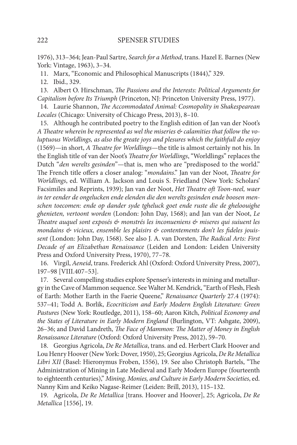#### 222 SPENSER STUDIES

1976), 313–364; Jean-Paul Sartre, *Search for a Method*, trans. Hazel E. Barnes (New York: Vintage, 1963), 3–34.

11. Marx, "Economic and Philosophical Manuscripts (1844)," 329.

12. Ibid., 329.

13. Albert O. Hirschman, *The Passions and the Interests: Political Arguments for Capitalism before Its Triumph* (Princeton, NJ: Princeton University Press, 1977).

14. Laurie Shannon, *The Accommodated Animal: Cosmopolity in Shakespearean Locales* (Chicago: University of Chicago Press, 2013), 8–10.

15. Although he contributed poetry to the English edition of Jan van der Noot's *A Theatre wherein be represented as wel the miseries & calamities that follow the voluptuous Worldlings, as also the greate joys and plesures which the faithfull do enjoy* (1569)—in short, *A Theatre for Worldlings*—the title is almost certainly not his. In the English title of van der Noot's *Theatre for Worldlings*, "Worldlings" replaces the Dutch "*den werelts gesinden*"—that is, men who are "predisposed to the world." The French title offers a closer analog: "*mondains*." Jan van der Noot, *Theatre for Worldlings*, ed. William A. Jackson and Louis S. Friedland (New York: Scholars' Facsimiles and Reprints, 1939); Jan van der Noot, *Het Theatre oft Toon-neel, waer in ter eender de ongelucken ende elenden die den werelts gesinden ende boosen menschen toecomen: ende op dander syde tgheluck goet ende ruste die de gheloouighe ghenieten, vertoont worden* (London: John Day, 1568); and Jan van der Noot, *Le Theatre auquel sont exposés & monstrés les inconueniens & miseres qui suiuent les mondains & vicieux, ensemble les plaisirs & contentements don't les fideles jouissent* (London: John Day, 1568). See also J. A. van Dorsten, *The Radical Arts: First Decade of an Elizabethan Renaissance* (Leiden and London: Leiden University Press and Oxford University Press, 1970), 77–78.

16. Virgil, *Aeneid*, trans. Frederick Ahl (Oxford: Oxford University Press, 2007), 197–98 [VIII.407–53].

17. Several compelling studies explore Spenser's interests in mining and metallurgy in the Cave of Mammon sequence. See Walter M. Kendrick, "Earth of Flesh, Flesh of Earth: Mother Earth in the Faerie Queene," *Renaissance Quarterly* 27.4 (1974): 537–41; Todd A. Borlik, *Ecocriticism and Early Modern English Literature: Green Pastures* (New York: Routledge, 2011), 158–60; Aaron Kitch, *Political Economy and the States of Literature in Early Modern England* (Burlington, VT: Ashgate, 2009), 26–36; and David Landreth, *The Face of Mammon: The Matter of Money in English Renaissance Literature* (Oxford: Oxford University Press, 2012), 59–70.

18. Georgius Agricola, *De Re Metallica*, trans. and ed. Herbert Clark Hoover and Lou Henry Hoover (New York: Dover, 1950), 25; Georgius Agricola, *De Re Metallica Libri XII* (Basel: Hieronymus Froben, 1556), 19. See also Christoph Bartels, "The Administration of Mining in Late Medieval and Early Modern Europe (fourteenth to eighteenth centuries)," *Mining, Monies, and Culture in Early Modern Societies*, ed. Nanny Kim and Keiko Nagase-Reimer (Leiden: Brill, 2013), 115–132.

19. Agricola, *De Re Metallica* [trans. Hoover and Hoover], 25; Agricola, *De Re Metallica* [1556], 19.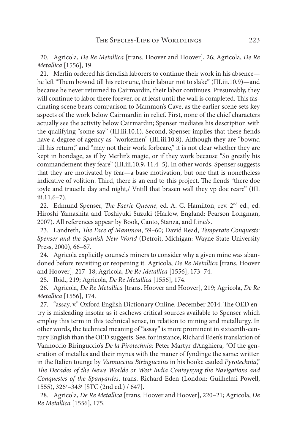20. Agricola, *De Re Metallica* [trans. Hoover and Hoover], 26; Agricola, *De Re Metallica* [1556], 19.

21. Merlin ordered his fiendish laborers to continue their work in his absence he left "Them bownd till his retorune, their labour not to slake" (III.iii.10.9)—and because he never returned to Cairmardin, their labor continues. Presumably, they will continue to labor there forever, or at least until the wall is completed. This fascinating scene bears comparison to Mammon's Cave, as the earlier scene sets key aspects of the work below Cairmardin in relief. First, none of the chief characters actually see the activity below Cairmardin; Spenser mediates his description with the qualifying "some say" (III.iii.10.1). Second, Spenser implies that these fiends have a degree of agency as "workemen" (III.iii.10.8). Although they are "bownd till his return," and "may not their work forbeare," it is not clear whether they are kept in bondage, as if by Merlin's magic, or if they work because "So greatly his commandement they feare" (III.iii.10.9, 11.4–5). In other words, Spenser suggests that they are motivated by fear—a base motivation, but one that is nonetheless indicative of volition. Third, there is an end to this project. The fiends "there doe toyle and traueile day and night,/ Vntill that brasen wall they vp doe reare" (III. iii.11.6–7).

22. Edmund Spenser, *The Faerie Queene,* ed. A. C. Hamilton, rev. 2nd ed., ed. Hiroshi Yamashita and Toshiyuki Suzuki (Harlow, England: Pearson Longman, 2007). All references appear by Book, Canto, Stanza, and Line/s.

23. Landreth, *The Face of Mammon*, 59–60; David Read, *Temperate Conquests: Spenser and the Spanish New World* (Detroit, Michigan: Wayne State University Press, 2000), 66–67.

24. Agricola explicitly counsels miners to consider why a given mine was abandoned before revisiting or reopening it. Agricola, *De Re Metallica* [trans. Hoover and Hoover], 217–18; Agricola, *De Re Metallica* [1556], 173–74.

25. Ibid., 219; Agricola, *De Re Metallica* [1556], 174.

26. Agricola, *De Re Metallica* [trans. Hoover and Hoover], 219; Agricola, *De Re Metallica* [1556], 174.

27. "assay, v." Oxford English Dictionary Online. December 2014. The OED entry is misleading insofar as it eschews critical sources available to Spenser which employ this term in this technical sense, in relation to mining and metallurgy. In other words, the technical meaning of "assay" is more prominent in sixteenth-century English than the OED suggests. See, for instance, Richard Eden's translation of Vannoccio Biringuccio's *De la Pirotechnia:* Peter Martyr d'Anghiera, "Of the generation of metalles and their mynes with the maner of fyndinge the same: written in the Italien tounge by *Vannuccius Biringuczius* in his booke cauled *Pyrotechnia*," *The Decades of the Newe Worlde or West India Conteynyng the Navigations and Conquestes of the Spanyardes*, trans. Richard Eden (London: Guilhelmi Powell, 1555), 326v –343r [STC (2nd ed.) / 647].

28. Agricola, *De Re Metallica* [trans. Hoover and Hoover], 220–21; Agricola, *De Re Metallica* [1556], 175.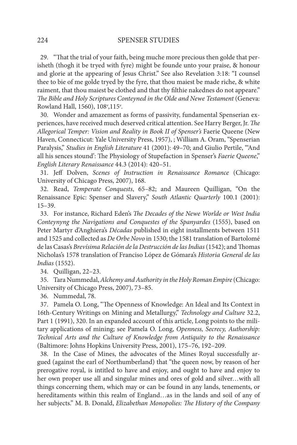29. "That the trial of your faith, being muche more precious then golde that perisheth (thogh it be tryed with fyre) might be founde unto your praise, & honour and glorie at the appearing of Jesus Christ." See also Revelation 3:18: "I counsel thee to bie of me golde tryed by the fyre, that thou maiest be made riche, & white raiment, that thou maiest be clothed and that thy filthie nakednes do not appeare." *The Bible and Holy Scriptures Conteyned in the Olde and Newe Testament* (Geneva: Rowland Hall, 1560), 108<sup>v</sup>, 115<sup>v</sup>.

30. Wonder and amazement as forms of passivity, fundamental Spenserian experiences, have received much deserved critical attention. See Harry Berger, Jr. *The Allegorical Temper: Vision and Reality in Book II of Spenser's* Faerie Queene (New Haven, Connecticut: Yale University Press, 1957), ; William A. Oram, "Spenserian Paralysis," *Studies in English Literature* 41 (2001): 49–70; and Giulio Pertile, "'And all his sences stound': The Physiology of Stupefaction in Spenser's *Faerie Queene*," *English Literary Renaissance* 44.3 (2014): 420–51.

31. Jeff Dolven, *Scenes of Instruction in Renaissance Romance* (Chicago: University of Chicago Press, 2007), 168.

32. Read, *Temperate Conquests*, 65–82; and Maureen Quilligan, "On the Renaissance Epic: Spenser and Slavery," *South Atlantic Quarterly* 100.1 (2001): 15–39.

33. For instance, Richard Eden's *The Decades of the Newe Worlde or West India Conteynyng the Navigations and Conquestes of the Spanyardes* (1555), based on Peter Martyr d'Anghiera's *Décadas* published in eight installments between 1511 and 1525 and collected as *De Orbe Novo* in 1530; the 1581 translation of Bartolomé de las Casas's *Brevísima Relación de la Destrucción de las Indias* (1542); and Thomas Nicholas's 1578 translation of Franciso López de Gómara's *Historia General de las Indias* (1552).

34. Quilligan, 22–23.

35. Tara Nummedal, *Alchemy and Authority in the Holy Roman Empire* (Chicago: University of Chicago Press, 2007), 73–85.

36. Nummedal, 78.

37. Pamela O. Long, "The Openness of Knowledge: An Ideal and Its Context in 16th-Century Writings on Mining and Metallurgy," *Technology and Culture* 32.2, Part 1 (1991), 320. In an expanded account of this article, Long points to the military applications of mining; see Pamela O. Long, *Openness, Secrecy, Authorship: Technical Arts and the Culture of Knowledge from Antiquity to the Renaissance*  (Baltimore: Johns Hopkins University Press, 2001), 175–76, 192–209.

38. In the Case of Mines, the advocates of the Mines Royal successfully argued (against the earl of Northumberland) that "the queen now, by reason of her prerogative royal, is intitled to have and enjoy, and ought to have and enjoy to her own proper use all and singular mines and ores of gold and silver…with all things concerning them, which may or can be found in any lands, tenements, or hereditaments within this realm of England…as in the lands and soil of any of her subjects." M. B. Donald, *Elizabethan Monopolies: The History of the Company*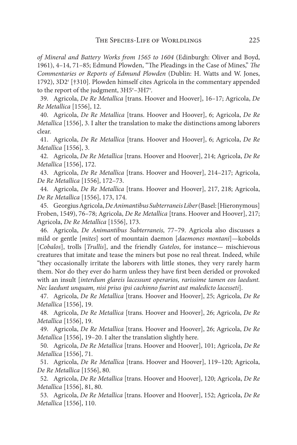*of Mineral and Battery Works from 1565 to 1604* (Edinburgh: Oliver and Boyd, 1961), 4–14, 71–85; Edmund Plowden, "The Pleadings in the Case of Mines," *The Commentaries or Reports of Edmund Plowden* (Dublin: H. Watts and W. Jones, 1792), 3D2r [†310]. Plowden himself cites Agricola in the commentary appended to the report of the judgment, 3H5<sup>v</sup>-3H7<sup>v</sup>.

39. Agricola, *De Re Metallica* [trans. Hoover and Hoover], 16–17; Agricola, *De Re Metallica* [1556], 12.

40. Agricola, *De Re Metallica* [trans. Hoover and Hoover], 6; Agricola, *De Re Metallica* [1556], 3. I alter the translation to make the distinctions among laborers clear.

41. Agricola, *De Re Metallica* [trans. Hoover and Hoover], 6; Agricola, *De Re Metallica* [1556], 3.

42. Agricola, *De Re Metallica* [trans. Hoover and Hoover], 214; Agricola, *De Re Metallica* [1556], 172.

43. Agricola, *De Re Metallica* [trans. Hoover and Hoover], 214–217; Agricola, *De Re Metallica* [1556], 172–73.

44. Agricola, *De Re Metallica* [trans. Hoover and Hoover], 217, 218; Agricola, *De Re Metallica* [1556], 173, 174.

45. Georgius Agricola, *De Animantibus Subterraneis Liber* (Basel: [Hieronymous] Froben, 1549), 76–78; Agricola, *De Re Metallica* [trans. Hoover and Hoover], 217; Agricola, *De Re Metallica* [1556], 173.

46. Agricola, *De Animantibus Subterraneis,* 77–79. Agricola also discusses a mild or gentle [*mites*] sort of mountain daemon [*daemones montani*]—kobolds [*Cobalos*], trolls [*Trullis*], and the friendly *Gutelos*, for instance— mischievous creatures that imitate and tease the miners but pose no real threat. Indeed, while "they occasionally irritate the laborers with little stones, they very rarely harm them. Nor do they ever do harm unless they have first been derided or provoked with an insult [*interdum glareis lacessunt operarios, rarissime tamen eos laedunt. Nec laedunt unquam, nisi prius ipsi cachinno fuerint aut maledicto lacesseti*].

47. Agricola, *De Re Metallica* [trans. Hoover and Hoover], 25; Agricola, *De Re Metallica* [1556], 19.

48. Agricola, *De Re Metallica* [trans. Hoover and Hoover], 26; Agricola, *De Re Metallica* [1556], 19.

49. Agricola, *De Re Metallica* [trans. Hoover and Hoover], 26; Agricola, *De Re Metallica* [1556], 19–20. I alter the translation slightly here.

50. Agricola, *De Re Metallica* [trans. Hoover and Hoover], 101; Agricola, *De Re Metallica* [1556], 71.

51. Agricola, *De Re Metallica* [trans. Hoover and Hoover], 119–120; Agricola, *De Re Metallica* [1556], 80.

52. Agricola, *De Re Metallica* [trans. Hoover and Hoover], 120; Agricola, *De Re Metallica* [1556], 81, 80.

53. Agricola, *De Re Metallica* [trans. Hoover and Hoover], 152; Agricola, *De Re Metallica* [1556], 110.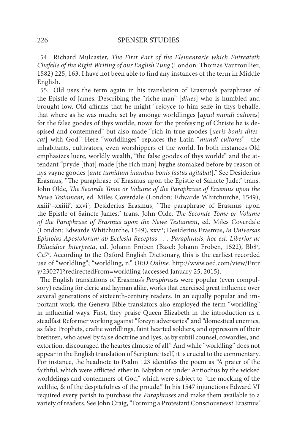54. Richard Mulcaster, *The First Part of the Elementarie which Entreateth Chefelie of the Right Writing of our English Tung* (London: Thomas Vautroullier, 1582) 225, 163. I have not been able to find any instances of the term in Middle English.

55. Old uses the term again in his translation of Erasmus's paraphrase of the Epistle of James. Describing the "riche man" [*diues*] who is humbled and brought low, Old affirms that he might "rejoyce to him selfe in thys behalfe, that where as he was muche set by amonge worldlinges [*apud mundi cultores*] for the false goodes of thys worlde, nowe for the professing of Christe he is despised and contemned" but also made "rich in true goodes [*ueris bonis ditescat*] with God." Here "worldlinges" replaces the Latin "*mundi cultores*"—the inhabitants, cultivators, even worshippers of the world. In both instances Old emphasizes lucre, worldly wealth, "the false goodes of thys worlde" and the attendant "pryde [that] made [the rich man] hyghe stomaked before by reason of hys vayne goodes [*ante tumidum inanibus bonis fastus agitabat*]." See Desiderius Erasmus, "The paraphrase of Erasmus upon the Epistle of Saincte Jude," trans. John Olde, *The Seconde Tome or Volume of the Paraphrase of Erasmus upon the Newe Testament*, ed. Miles Coverdale (London: Edwarde Whitchurche, 1549), xxiiiv –xxiiiir , xxvir ; Desiderius Erasmus, "The paraphrase of Erasmus upon the Epistle of Saincte James," trans. John Olde, *The Seconde Tome or Volume of the Paraphrase of Erasmus upon the Newe Testament*, ed. Miles Coverdale (London: Edwarde Whitchurche, 1549), xxvir ; Desiderius Erasmus, *In Universas Epistolas Apostolorum ab Ecclesia Receptas . . . Paraphrasis, hoc est, Liberior ac*  Dilucidior Interpreta, ed. Johann Froben (Basel: Johann Froben, 1522), Bb8<sup>v</sup>, Cc7r . According to the Oxford English Dictionary, this is the earliest recorded use of "worldling"; "worldling, n." *OED Online.* http://www.oed.com/view/Entr y/230271?redirectedFrom=worldling (accessed January 25, 2015).

The English translations of Erasmus's *Paraphrases* were popular (even compulsory) reading for cleric and layman alike, works that exercised great influence over several generations of sixteenth-century readers. In an equally popular and important work, the Geneva Bible translators also employed the term "worldling" in influential ways. First, they praise Queen Elizabeth in the introduction as a steadfast Reformer working against "foreyn adversaries" and "domestical enemies, as false Prophets, craftie worldlings, faint hearted soldiers, and oppressors of their brethren, who aswel by false doctrine and lyes, as by subtil counsel, cowardies, and extortion, discouraged the heartes almoste of all." And while "worldling" does not appear in the English translation of Scripture itself, it is crucial to the commentary. For instance, the headnote to Psalm 123 identifies the poem as "A praier of the faithful, which were afflicted ether in Babylon or under Antiochus by the wicked worldelings and contemners of God," which were subject to "the mocking of the welthie, & of the despitefulnes of the proude." In his 1547 injunctions Edward VI required every parish to purchase the *Paraphrases* and make them available to a variety of readers. See John Craig, "Forming a Protestant Consciousness? Erasmus'